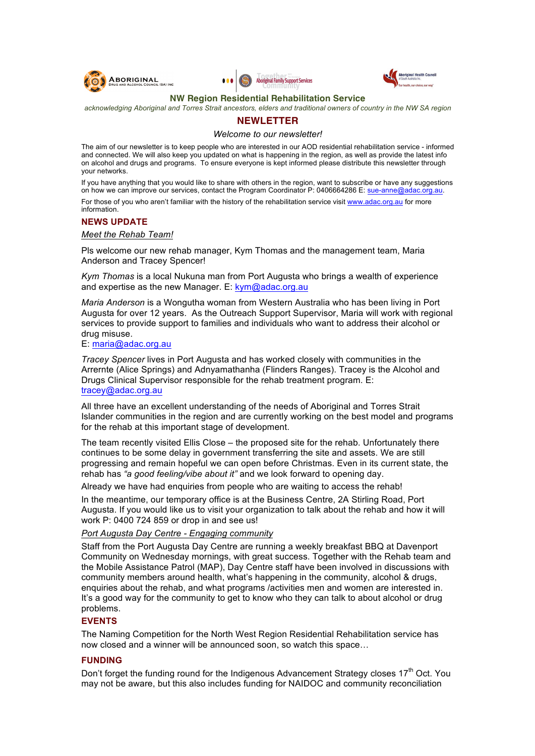





#### **NW Region Residential Rehabilitation Service**

*acknowledging Aboriginal and Torres Strait ancestors, elders and traditional owners of country in the NW SA region*

## **NEWLETTER**

*Welcome to our newsletter!*

The aim of our newsletter is to keep people who are interested in our AOD residential rehabilitation service - informed and connected. We will also keep you updated on what is happening in the region, as well as provide the latest info on alcohol and drugs and programs. To ensure everyone is kept informed please distribute this newsletter through your networks.

If you have anything that you would like to share with others in the region, want to subscribe or have any suggestions on how we can improve our services, contact the Program Coordinator P: 0406664286 E: sue-anne@adac.org.au. For those of you who aren't familiar with the history of the rehabilitation service visit www.adac.org.au for more information.

## **NEWS UPDATE**

#### *Meet the Rehab Team!*

Pls welcome our new rehab manager, Kym Thomas and the management team, Maria Anderson and Tracey Spencer!

*Kym Thomas* is a local Nukuna man from Port Augusta who brings a wealth of experience and expertise as the new Manager. E:  $kym@adac.org.au$ 

*Maria Anderson* is a Wongutha woman from Western Australia who has been living in Port Augusta for over 12 years. As the Outreach Support Supervisor, Maria will work with regional services to provide support to families and individuals who want to address their alcohol or drug misuse.

#### E: maria@adac.org.au

*Tracey Spencer* lives in Port Augusta and has worked closely with communities in the Arrernte (Alice Springs) and Adnyamathanha (Flinders Ranges). Tracey is the Alcohol and Drugs Clinical Supervisor responsible for the rehab treatment program. E: tracey@adac.org.au

All three have an excellent understanding of the needs of Aboriginal and Torres Strait Islander communities in the region and are currently working on the best model and programs for the rehab at this important stage of development.

The team recently visited Ellis Close – the proposed site for the rehab. Unfortunately there continues to be some delay in government transferring the site and assets. We are still progressing and remain hopeful we can open before Christmas. Even in its current state, the rehab has *"a good feeling/vibe about it"* and we look forward to opening day.

Already we have had enquiries from people who are waiting to access the rehab!

In the meantime, our temporary office is at the Business Centre, 2A Stirling Road, Port Augusta. If you would like us to visit your organization to talk about the rehab and how it will work P: 0400 724 859 or drop in and see us!

## *Port Augusta Day Centre - Engaging community*

Staff from the Port Augusta Day Centre are running a weekly breakfast BBQ at Davenport Community on Wednesday mornings, with great success. Together with the Rehab team and the Mobile Assistance Patrol (MAP), Day Centre staff have been involved in discussions with community members around health, what's happening in the community, alcohol & drugs, enquiries about the rehab, and what programs /activities men and women are interested in. It's a good way for the community to get to know who they can talk to about alcohol or drug problems.

## **EVENTS**

The Naming Competition for the North West Region Residential Rehabilitation service has now closed and a winner will be announced soon, so watch this space…

## **FUNDING**

Don't forget the funding round for the Indigenous Advancement Strategy closes 17<sup>th</sup> Oct. You may not be aware, but this also includes funding for NAIDOC and community reconciliation